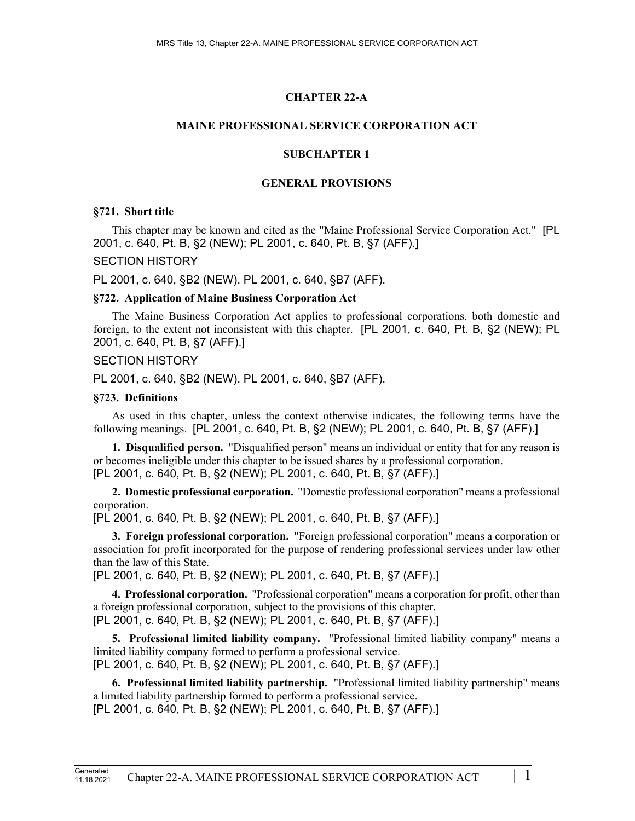## **CHAPTER 22-A**

### **MAINE PROFESSIONAL SERVICE CORPORATION ACT**

### **SUBCHAPTER 1**

#### **GENERAL PROVISIONS**

#### **§721. Short title**

This chapter may be known and cited as the "Maine Professional Service Corporation Act." [PL 2001, c. 640, Pt. B, §2 (NEW); PL 2001, c. 640, Pt. B, §7 (AFF).]

### SECTION HISTORY

PL 2001, c. 640, §B2 (NEW). PL 2001, c. 640, §B7 (AFF).

### **§722. Application of Maine Business Corporation Act**

The Maine Business Corporation Act applies to professional corporations, both domestic and foreign, to the extent not inconsistent with this chapter. [PL 2001, c. 640, Pt. B, §2 (NEW); PL 2001, c. 640, Pt. B, §7 (AFF).]

### SECTION HISTORY

PL 2001, c. 640, §B2 (NEW). PL 2001, c. 640, §B7 (AFF).

### **§723. Definitions**

As used in this chapter, unless the context otherwise indicates, the following terms have the following meanings. [PL 2001, c. 640, Pt. B, §2 (NEW); PL 2001, c. 640, Pt. B, §7 (AFF).]

**1. Disqualified person.** "Disqualified person" means an individual or entity that for any reason is or becomes ineligible under this chapter to be issued shares by a professional corporation. [PL 2001, c. 640, Pt. B, §2 (NEW); PL 2001, c. 640, Pt. B, §7 (AFF).]

**2. Domestic professional corporation.** "Domestic professional corporation" means a professional corporation.

[PL 2001, c. 640, Pt. B, §2 (NEW); PL 2001, c. 640, Pt. B, §7 (AFF).]

**3. Foreign professional corporation.** "Foreign professional corporation" means a corporation or association for profit incorporated for the purpose of rendering professional services under law other than the law of this State.

[PL 2001, c. 640, Pt. B, §2 (NEW); PL 2001, c. 640, Pt. B, §7 (AFF).]

**4. Professional corporation.** "Professional corporation" means a corporation for profit, other than a foreign professional corporation, subject to the provisions of this chapter. [PL 2001, c. 640, Pt. B, §2 (NEW); PL 2001, c. 640, Pt. B, §7 (AFF).]

**5. Professional limited liability company.** "Professional limited liability company" means a limited liability company formed to perform a professional service. [PL 2001, c. 640, Pt. B, §2 (NEW); PL 2001, c. 640, Pt. B, §7 (AFF).]

**6. Professional limited liability partnership.** "Professional limited liability partnership" means a limited liability partnership formed to perform a professional service.

[PL 2001, c. 640, Pt. B, §2 (NEW); PL 2001, c. 640, Pt. B, §7 (AFF).]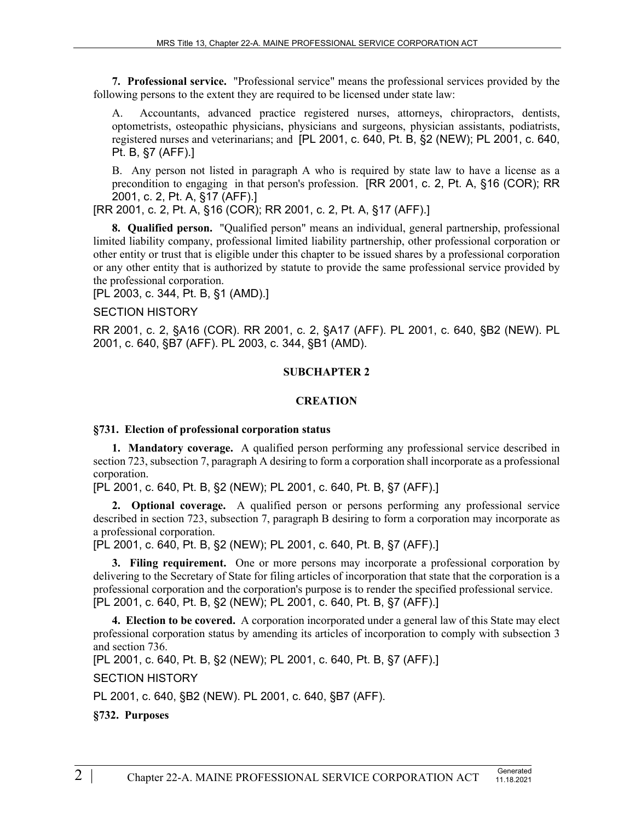**7. Professional service.** "Professional service" means the professional services provided by the following persons to the extent they are required to be licensed under state law:

A. Accountants, advanced practice registered nurses, attorneys, chiropractors, dentists, optometrists, osteopathic physicians, physicians and surgeons, physician assistants, podiatrists, registered nurses and veterinarians; and [PL 2001, c. 640, Pt. B, §2 (NEW); PL 2001, c. 640, Pt. B, §7 (AFF).]

B. Any person not listed in paragraph A who is required by state law to have a license as a precondition to engaging in that person's profession. [RR 2001, c. 2, Pt. A, §16 (COR); RR 2001, c. 2, Pt. A, §17 (AFF).]

[RR 2001, c. 2, Pt. A, §16 (COR); RR 2001, c. 2, Pt. A, §17 (AFF).]

**8. Qualified person.** "Qualified person" means an individual, general partnership, professional limited liability company, professional limited liability partnership, other professional corporation or other entity or trust that is eligible under this chapter to be issued shares by a professional corporation or any other entity that is authorized by statute to provide the same professional service provided by the professional corporation.

[PL 2003, c. 344, Pt. B, §1 (AMD).]

SECTION HISTORY

RR 2001, c. 2, §A16 (COR). RR 2001, c. 2, §A17 (AFF). PL 2001, c. 640, §B2 (NEW). PL 2001, c. 640, §B7 (AFF). PL 2003, c. 344, §B1 (AMD).

#### **SUBCHAPTER 2**

#### **CREATION**

#### **§731. Election of professional corporation status**

**1. Mandatory coverage.** A qualified person performing any professional service described in section 723, subsection 7, paragraph A desiring to form a corporation shall incorporate as a professional corporation.

[PL 2001, c. 640, Pt. B, §2 (NEW); PL 2001, c. 640, Pt. B, §7 (AFF).]

**2. Optional coverage.** A qualified person or persons performing any professional service described in section 723, subsection 7, paragraph B desiring to form a corporation may incorporate as a professional corporation.

[PL 2001, c. 640, Pt. B, §2 (NEW); PL 2001, c. 640, Pt. B, §7 (AFF).]

**3. Filing requirement.** One or more persons may incorporate a professional corporation by delivering to the Secretary of State for filing articles of incorporation that state that the corporation is a professional corporation and the corporation's purpose is to render the specified professional service. [PL 2001, c. 640, Pt. B, §2 (NEW); PL 2001, c. 640, Pt. B, §7 (AFF).]

**4. Election to be covered.** A corporation incorporated under a general law of this State may elect professional corporation status by amending its articles of incorporation to comply with subsection 3 and section 736.

[PL 2001, c. 640, Pt. B, §2 (NEW); PL 2001, c. 640, Pt. B, §7 (AFF).]

SECTION HISTORY

PL 2001, c. 640, §B2 (NEW). PL 2001, c. 640, §B7 (AFF).

**§732. Purposes**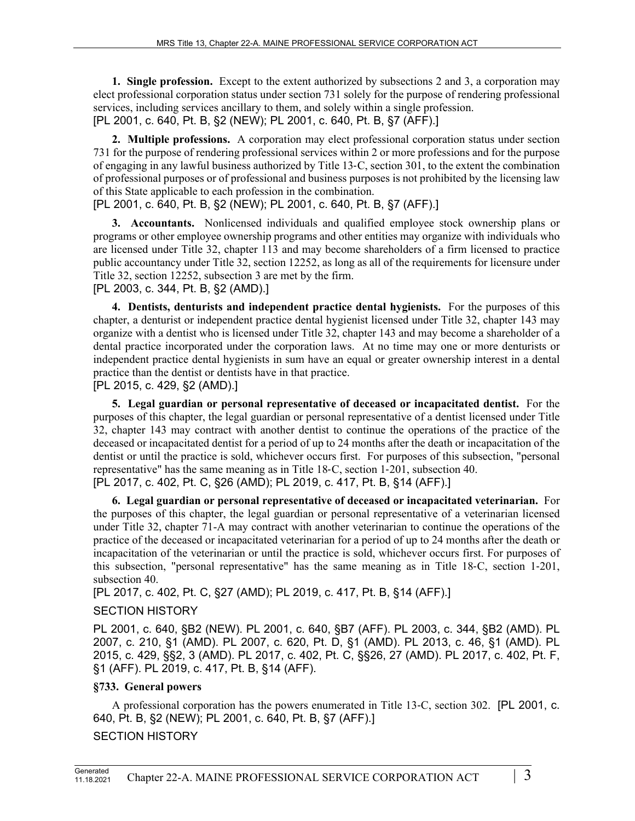**1. Single profession.** Except to the extent authorized by subsections 2 and 3, a corporation may elect professional corporation status under section 731 solely for the purpose of rendering professional services, including services ancillary to them, and solely within a single profession. [PL 2001, c. 640, Pt. B, §2 (NEW); PL 2001, c. 640, Pt. B, §7 (AFF).]

**2. Multiple professions.** A corporation may elect professional corporation status under section 731 for the purpose of rendering professional services within 2 or more professions and for the purpose of engaging in any lawful business authorized by Title 13‑C, section 301, to the extent the combination of professional purposes or of professional and business purposes is not prohibited by the licensing law of this State applicable to each profession in the combination.

[PL 2001, c. 640, Pt. B, §2 (NEW); PL 2001, c. 640, Pt. B, §7 (AFF).]

**3. Accountants.** Nonlicensed individuals and qualified employee stock ownership plans or programs or other employee ownership programs and other entities may organize with individuals who are licensed under Title 32, chapter 113 and may become shareholders of a firm licensed to practice public accountancy under Title 32, section 12252, as long as all of the requirements for licensure under Title 32, section 12252, subsection 3 are met by the firm.

[PL 2003, c. 344, Pt. B, §2 (AMD).]

**4. Dentists, denturists and independent practice dental hygienists.** For the purposes of this chapter, a denturist or independent practice dental hygienist licensed under Title 32, chapter 143 may organize with a dentist who is licensed under Title 32, chapter 143 and may become a shareholder of a dental practice incorporated under the corporation laws. At no time may one or more denturists or independent practice dental hygienists in sum have an equal or greater ownership interest in a dental practice than the dentist or dentists have in that practice.

[PL 2015, c. 429, §2 (AMD).]

**5. Legal guardian or personal representative of deceased or incapacitated dentist.** For the purposes of this chapter, the legal guardian or personal representative of a dentist licensed under Title 32, chapter 143 may contract with another dentist to continue the operations of the practice of the deceased or incapacitated dentist for a period of up to 24 months after the death or incapacitation of the dentist or until the practice is sold, whichever occurs first. For purposes of this subsection, "personal representative" has the same meaning as in Title 18‑C, section 1‑201, subsection 40. [PL 2017, c. 402, Pt. C, §26 (AMD); PL 2019, c. 417, Pt. B, §14 (AFF).]

**6. Legal guardian or personal representative of deceased or incapacitated veterinarian.** For the purposes of this chapter, the legal guardian or personal representative of a veterinarian licensed under Title 32, chapter 71-A may contract with another veterinarian to continue the operations of the practice of the deceased or incapacitated veterinarian for a period of up to 24 months after the death or incapacitation of the veterinarian or until the practice is sold, whichever occurs first. For purposes of this subsection, "personal representative" has the same meaning as in Title 18‑C, section 1‑201, subsection 40.

[PL 2017, c. 402, Pt. C, §27 (AMD); PL 2019, c. 417, Pt. B, §14 (AFF).]

# SECTION HISTORY

PL 2001, c. 640, §B2 (NEW). PL 2001, c. 640, §B7 (AFF). PL 2003, c. 344, §B2 (AMD). PL 2007, c. 210, §1 (AMD). PL 2007, c. 620, Pt. D, §1 (AMD). PL 2013, c. 46, §1 (AMD). PL 2015, c. 429, §§2, 3 (AMD). PL 2017, c. 402, Pt. C, §§26, 27 (AMD). PL 2017, c. 402, Pt. F, §1 (AFF). PL 2019, c. 417, Pt. B, §14 (AFF).

# **§733. General powers**

A professional corporation has the powers enumerated in Title 13‑C, section 302. [PL 2001, c. 640, Pt. B, §2 (NEW); PL 2001, c. 640, Pt. B, §7 (AFF).]

SECTION HISTORY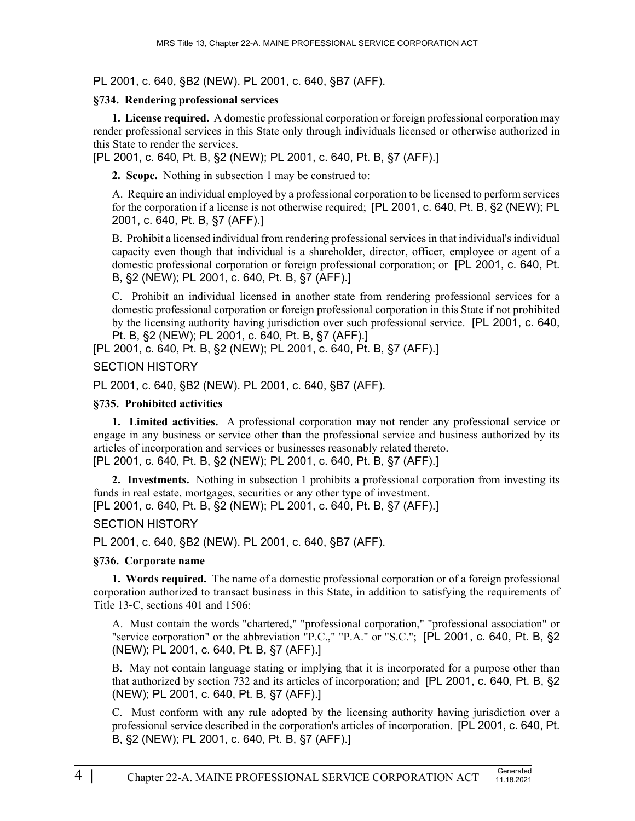PL 2001, c. 640, §B2 (NEW). PL 2001, c. 640, §B7 (AFF).

### **§734. Rendering professional services**

**1. License required.** A domestic professional corporation or foreign professional corporation may render professional services in this State only through individuals licensed or otherwise authorized in this State to render the services.

[PL 2001, c. 640, Pt. B, §2 (NEW); PL 2001, c. 640, Pt. B, §7 (AFF).]

**2. Scope.** Nothing in subsection 1 may be construed to:

A. Require an individual employed by a professional corporation to be licensed to perform services for the corporation if a license is not otherwise required; [PL 2001, c. 640, Pt. B, §2 (NEW); PL 2001, c. 640, Pt. B, §7 (AFF).]

B. Prohibit a licensed individual from rendering professional services in that individual's individual capacity even though that individual is a shareholder, director, officer, employee or agent of a domestic professional corporation or foreign professional corporation; or [PL 2001, c. 640, Pt. B, §2 (NEW); PL 2001, c. 640, Pt. B, §7 (AFF).]

C. Prohibit an individual licensed in another state from rendering professional services for a domestic professional corporation or foreign professional corporation in this State if not prohibited by the licensing authority having jurisdiction over such professional service. [PL 2001, c. 640, Pt. B, §2 (NEW); PL 2001, c. 640, Pt. B, §7 (AFF).]

[PL 2001, c. 640, Pt. B, §2 (NEW); PL 2001, c. 640, Pt. B, §7 (AFF).]

### SECTION HISTORY

PL 2001, c. 640, §B2 (NEW). PL 2001, c. 640, §B7 (AFF).

### **§735. Prohibited activities**

**1. Limited activities.** A professional corporation may not render any professional service or engage in any business or service other than the professional service and business authorized by its articles of incorporation and services or businesses reasonably related thereto. [PL 2001, c. 640, Pt. B, §2 (NEW); PL 2001, c. 640, Pt. B, §7 (AFF).]

**2. Investments.** Nothing in subsection 1 prohibits a professional corporation from investing its funds in real estate, mortgages, securities or any other type of investment.

[PL 2001, c. 640, Pt. B, §2 (NEW); PL 2001, c. 640, Pt. B, §7 (AFF).]

## SECTION HISTORY

PL 2001, c. 640, §B2 (NEW). PL 2001, c. 640, §B7 (AFF).

## **§736. Corporate name**

**1. Words required.** The name of a domestic professional corporation or of a foreign professional corporation authorized to transact business in this State, in addition to satisfying the requirements of Title 13-C, sections 401 and 1506:

A. Must contain the words "chartered," "professional corporation," "professional association" or "service corporation" or the abbreviation "P.C.," "P.A." or "S.C."; [PL 2001, c. 640, Pt. B, §2 (NEW); PL 2001, c. 640, Pt. B, §7 (AFF).]

B. May not contain language stating or implying that it is incorporated for a purpose other than that authorized by section 732 and its articles of incorporation; and [PL 2001, c. 640, Pt. B, §2 (NEW); PL 2001, c. 640, Pt. B, §7 (AFF).]

C. Must conform with any rule adopted by the licensing authority having jurisdiction over a professional service described in the corporation's articles of incorporation. [PL 2001, c. 640, Pt. B, §2 (NEW); PL 2001, c. 640, Pt. B, §7 (AFF).]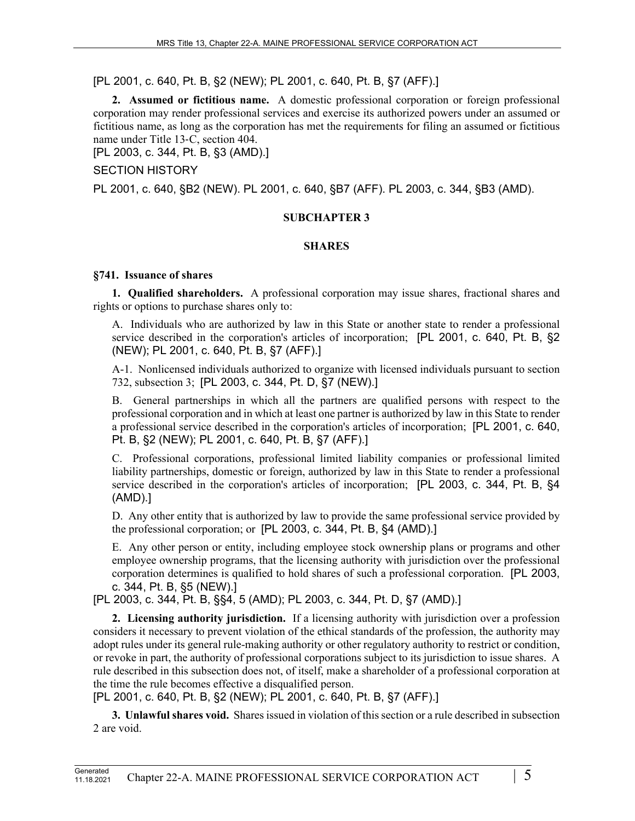[PL 2001, c. 640, Pt. B, §2 (NEW); PL 2001, c. 640, Pt. B, §7 (AFF).]

**2. Assumed or fictitious name.** A domestic professional corporation or foreign professional corporation may render professional services and exercise its authorized powers under an assumed or fictitious name, as long as the corporation has met the requirements for filing an assumed or fictitious name under Title 13‑C, section 404.

[PL 2003, c. 344, Pt. B, §3 (AMD).]

SECTION HISTORY

PL 2001, c. 640, §B2 (NEW). PL 2001, c. 640, §B7 (AFF). PL 2003, c. 344, §B3 (AMD).

# **SUBCHAPTER 3**

# **SHARES**

# **§741. Issuance of shares**

**1. Qualified shareholders.** A professional corporation may issue shares, fractional shares and rights or options to purchase shares only to:

A. Individuals who are authorized by law in this State or another state to render a professional service described in the corporation's articles of incorporation; [PL 2001, c. 640, Pt. B, §2 (NEW); PL 2001, c. 640, Pt. B, §7 (AFF).]

A-1. Nonlicensed individuals authorized to organize with licensed individuals pursuant to section 732, subsection 3; [PL 2003, c. 344, Pt. D, §7 (NEW).]

B. General partnerships in which all the partners are qualified persons with respect to the professional corporation and in which at least one partner is authorized by law in this State to render a professional service described in the corporation's articles of incorporation; [PL 2001, c. 640, Pt. B, §2 (NEW); PL 2001, c. 640, Pt. B, §7 (AFF).]

C. Professional corporations, professional limited liability companies or professional limited liability partnerships, domestic or foreign, authorized by law in this State to render a professional service described in the corporation's articles of incorporation; [PL 2003, c. 344, Pt. B, §4 (AMD).]

D. Any other entity that is authorized by law to provide the same professional service provided by the professional corporation; or [PL 2003, c. 344, Pt. B, §4 (AMD).]

E. Any other person or entity, including employee stock ownership plans or programs and other employee ownership programs, that the licensing authority with jurisdiction over the professional corporation determines is qualified to hold shares of such a professional corporation. [PL 2003, c. 344, Pt. B, §5 (NEW).]

[PL 2003, c. 344, Pt. B, §§4, 5 (AMD); PL 2003, c. 344, Pt. D, §7 (AMD).]

**2. Licensing authority jurisdiction.** If a licensing authority with jurisdiction over a profession considers it necessary to prevent violation of the ethical standards of the profession, the authority may adopt rules under its general rule-making authority or other regulatory authority to restrict or condition, or revoke in part, the authority of professional corporations subject to its jurisdiction to issue shares. A rule described in this subsection does not, of itself, make a shareholder of a professional corporation at the time the rule becomes effective a disqualified person.

[PL 2001, c. 640, Pt. B, §2 (NEW); PL 2001, c. 640, Pt. B, §7 (AFF).]

**3. Unlawful shares void.** Shares issued in violation of this section or a rule described in subsection 2 are void.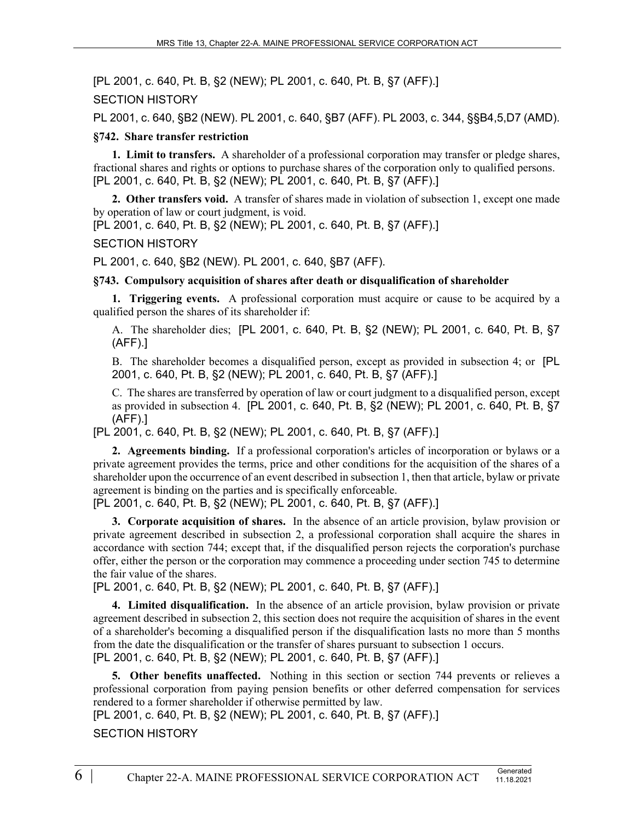[PL 2001, c. 640, Pt. B, §2 (NEW); PL 2001, c. 640, Pt. B, §7 (AFF).]

SECTION HISTORY

PL 2001, c. 640, §B2 (NEW). PL 2001, c. 640, §B7 (AFF). PL 2003, c. 344, §§B4,5,D7 (AMD).

### **§742. Share transfer restriction**

**1. Limit to transfers.** A shareholder of a professional corporation may transfer or pledge shares, fractional shares and rights or options to purchase shares of the corporation only to qualified persons. [PL 2001, c. 640, Pt. B, §2 (NEW); PL 2001, c. 640, Pt. B, §7 (AFF).]

**2. Other transfers void.** A transfer of shares made in violation of subsection 1, except one made by operation of law or court judgment, is void.

[PL 2001, c. 640, Pt. B, §2 (NEW); PL 2001, c. 640, Pt. B, §7 (AFF).]

### SECTION HISTORY

PL 2001, c. 640, §B2 (NEW). PL 2001, c. 640, §B7 (AFF).

### **§743. Compulsory acquisition of shares after death or disqualification of shareholder**

**1. Triggering events.** A professional corporation must acquire or cause to be acquired by a qualified person the shares of its shareholder if:

A. The shareholder dies; [PL 2001, c. 640, Pt. B, §2 (NEW); PL 2001, c. 640, Pt. B, §7 (AFF).]

B. The shareholder becomes a disqualified person, except as provided in subsection 4; or [PL 2001, c. 640, Pt. B, §2 (NEW); PL 2001, c. 640, Pt. B, §7 (AFF).]

C. The shares are transferred by operation of law or court judgment to a disqualified person, except as provided in subsection 4. [PL 2001, c. 640, Pt. B, §2 (NEW); PL 2001, c. 640, Pt. B, §7 (AFF).]

[PL 2001, c. 640, Pt. B, §2 (NEW); PL 2001, c. 640, Pt. B, §7 (AFF).]

**2. Agreements binding.** If a professional corporation's articles of incorporation or bylaws or a private agreement provides the terms, price and other conditions for the acquisition of the shares of a shareholder upon the occurrence of an event described in subsection 1, then that article, bylaw or private agreement is binding on the parties and is specifically enforceable.

[PL 2001, c. 640, Pt. B, §2 (NEW); PL 2001, c. 640, Pt. B, §7 (AFF).]

**3. Corporate acquisition of shares.** In the absence of an article provision, bylaw provision or private agreement described in subsection 2, a professional corporation shall acquire the shares in accordance with section 744; except that, if the disqualified person rejects the corporation's purchase offer, either the person or the corporation may commence a proceeding under section 745 to determine the fair value of the shares.

[PL 2001, c. 640, Pt. B, §2 (NEW); PL 2001, c. 640, Pt. B, §7 (AFF).]

**4. Limited disqualification.** In the absence of an article provision, bylaw provision or private agreement described in subsection 2, this section does not require the acquisition of shares in the event of a shareholder's becoming a disqualified person if the disqualification lasts no more than 5 months from the date the disqualification or the transfer of shares pursuant to subsection 1 occurs. [PL 2001, c. 640, Pt. B, §2 (NEW); PL 2001, c. 640, Pt. B, §7 (AFF).]

**5. Other benefits unaffected.** Nothing in this section or section 744 prevents or relieves a professional corporation from paying pension benefits or other deferred compensation for services rendered to a former shareholder if otherwise permitted by law.

[PL 2001, c. 640, Pt. B, §2 (NEW); PL 2001, c. 640, Pt. B, §7 (AFF).]

SECTION HISTORY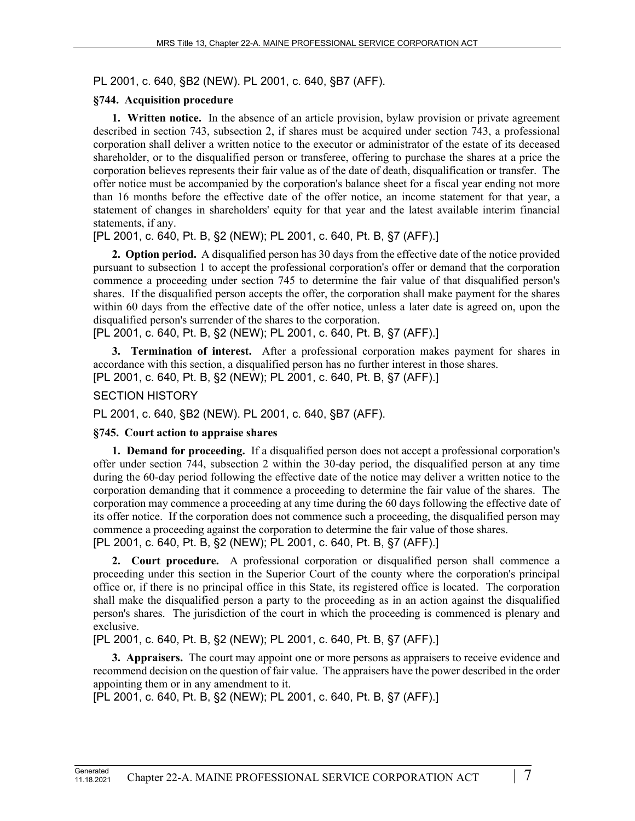PL 2001, c. 640, §B2 (NEW). PL 2001, c. 640, §B7 (AFF).

## **§744. Acquisition procedure**

**1. Written notice.** In the absence of an article provision, bylaw provision or private agreement described in section 743, subsection 2, if shares must be acquired under section 743, a professional corporation shall deliver a written notice to the executor or administrator of the estate of its deceased shareholder, or to the disqualified person or transferee, offering to purchase the shares at a price the corporation believes represents their fair value as of the date of death, disqualification or transfer. The offer notice must be accompanied by the corporation's balance sheet for a fiscal year ending not more than 16 months before the effective date of the offer notice, an income statement for that year, a statement of changes in shareholders' equity for that year and the latest available interim financial statements, if any.

[PL 2001, c. 640, Pt. B, §2 (NEW); PL 2001, c. 640, Pt. B, §7 (AFF).]

**2. Option period.** A disqualified person has 30 days from the effective date of the notice provided pursuant to subsection 1 to accept the professional corporation's offer or demand that the corporation commence a proceeding under section 745 to determine the fair value of that disqualified person's shares. If the disqualified person accepts the offer, the corporation shall make payment for the shares within 60 days from the effective date of the offer notice, unless a later date is agreed on, upon the disqualified person's surrender of the shares to the corporation.

[PL 2001, c. 640, Pt. B, §2 (NEW); PL 2001, c. 640, Pt. B, §7 (AFF).]

**3. Termination of interest.** After a professional corporation makes payment for shares in accordance with this section, a disqualified person has no further interest in those shares. [PL 2001, c. 640, Pt. B, §2 (NEW); PL 2001, c. 640, Pt. B, §7 (AFF).]

## SECTION HISTORY

PL 2001, c. 640, §B2 (NEW). PL 2001, c. 640, §B7 (AFF).

# **§745. Court action to appraise shares**

**1. Demand for proceeding.** If a disqualified person does not accept a professional corporation's offer under section 744, subsection 2 within the 30-day period, the disqualified person at any time during the 60-day period following the effective date of the notice may deliver a written notice to the corporation demanding that it commence a proceeding to determine the fair value of the shares. The corporation may commence a proceeding at any time during the 60 days following the effective date of its offer notice. If the corporation does not commence such a proceeding, the disqualified person may commence a proceeding against the corporation to determine the fair value of those shares. [PL 2001, c. 640, Pt. B, §2 (NEW); PL 2001, c. 640, Pt. B, §7 (AFF).]

**2. Court procedure.** A professional corporation or disqualified person shall commence a proceeding under this section in the Superior Court of the county where the corporation's principal office or, if there is no principal office in this State, its registered office is located. The corporation shall make the disqualified person a party to the proceeding as in an action against the disqualified person's shares. The jurisdiction of the court in which the proceeding is commenced is plenary and exclusive.

[PL 2001, c. 640, Pt. B, §2 (NEW); PL 2001, c. 640, Pt. B, §7 (AFF).]

**3. Appraisers.** The court may appoint one or more persons as appraisers to receive evidence and recommend decision on the question of fair value. The appraisers have the power described in the order appointing them or in any amendment to it.

[PL 2001, c. 640, Pt. B, §2 (NEW); PL 2001, c. 640, Pt. B, §7 (AFF).]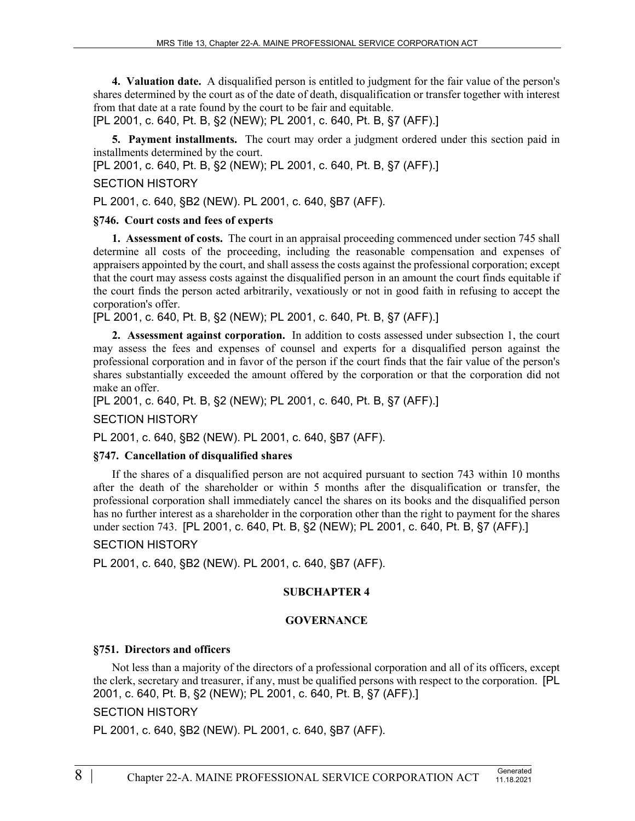**4. Valuation date.** A disqualified person is entitled to judgment for the fair value of the person's shares determined by the court as of the date of death, disqualification or transfer together with interest from that date at a rate found by the court to be fair and equitable.

[PL 2001, c. 640, Pt. B, §2 (NEW); PL 2001, c. 640, Pt. B, §7 (AFF).]

**5. Payment installments.** The court may order a judgment ordered under this section paid in installments determined by the court.

[PL 2001, c. 640, Pt. B, §2 (NEW); PL 2001, c. 640, Pt. B, §7 (AFF).]

### SECTION HISTORY

PL 2001, c. 640, §B2 (NEW). PL 2001, c. 640, §B7 (AFF).

### **§746. Court costs and fees of experts**

**1. Assessment of costs.** The court in an appraisal proceeding commenced under section 745 shall determine all costs of the proceeding, including the reasonable compensation and expenses of appraisers appointed by the court, and shall assess the costs against the professional corporation; except that the court may assess costs against the disqualified person in an amount the court finds equitable if the court finds the person acted arbitrarily, vexatiously or not in good faith in refusing to accept the corporation's offer.

[PL 2001, c. 640, Pt. B, §2 (NEW); PL 2001, c. 640, Pt. B, §7 (AFF).]

**2. Assessment against corporation.** In addition to costs assessed under subsection 1, the court may assess the fees and expenses of counsel and experts for a disqualified person against the professional corporation and in favor of the person if the court finds that the fair value of the person's shares substantially exceeded the amount offered by the corporation or that the corporation did not make an offer.

[PL 2001, c. 640, Pt. B, §2 (NEW); PL 2001, c. 640, Pt. B, §7 (AFF).]

#### SECTION HISTORY

PL 2001, c. 640, §B2 (NEW). PL 2001, c. 640, §B7 (AFF).

#### **§747. Cancellation of disqualified shares**

If the shares of a disqualified person are not acquired pursuant to section 743 within 10 months after the death of the shareholder or within 5 months after the disqualification or transfer, the professional corporation shall immediately cancel the shares on its books and the disqualified person has no further interest as a shareholder in the corporation other than the right to payment for the shares under section 743. [PL 2001, c. 640, Pt. B, §2 (NEW); PL 2001, c. 640, Pt. B, §7 (AFF).]

#### SECTION HISTORY

PL 2001, c. 640, §B2 (NEW). PL 2001, c. 640, §B7 (AFF).

#### **SUBCHAPTER 4**

#### **GOVERNANCE**

## **§751. Directors and officers**

Not less than a majority of the directors of a professional corporation and all of its officers, except the clerk, secretary and treasurer, if any, must be qualified persons with respect to the corporation. [PL 2001, c. 640, Pt. B, §2 (NEW); PL 2001, c. 640, Pt. B, §7 (AFF).]

## SECTION HISTORY

PL 2001, c. 640, §B2 (NEW). PL 2001, c. 640, §B7 (AFF).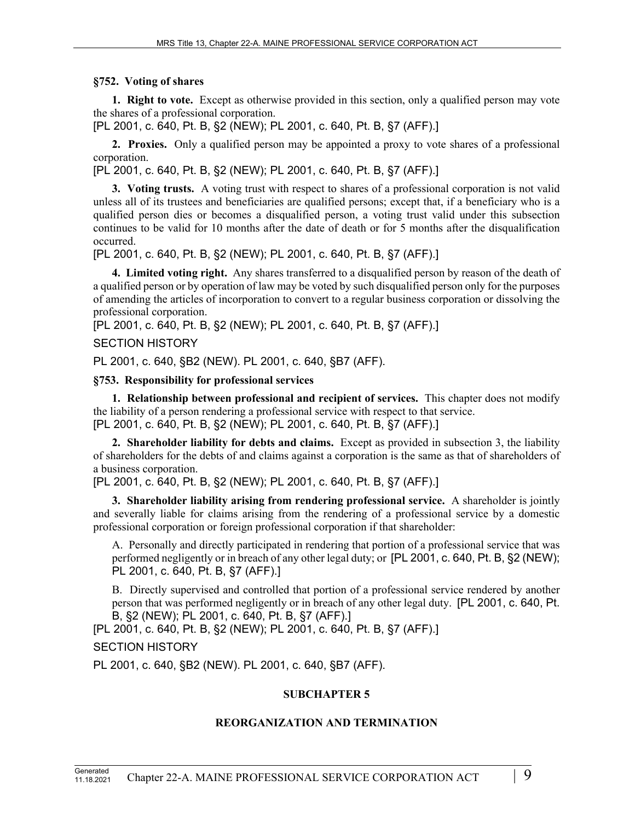## **§752. Voting of shares**

**1. Right to vote.** Except as otherwise provided in this section, only a qualified person may vote the shares of a professional corporation.

[PL 2001, c. 640, Pt. B, §2 (NEW); PL 2001, c. 640, Pt. B, §7 (AFF).]

**2. Proxies.** Only a qualified person may be appointed a proxy to vote shares of a professional corporation.

[PL 2001, c. 640, Pt. B, §2 (NEW); PL 2001, c. 640, Pt. B, §7 (AFF).]

**3. Voting trusts.** A voting trust with respect to shares of a professional corporation is not valid unless all of its trustees and beneficiaries are qualified persons; except that, if a beneficiary who is a qualified person dies or becomes a disqualified person, a voting trust valid under this subsection continues to be valid for 10 months after the date of death or for 5 months after the disqualification occurred.

[PL 2001, c. 640, Pt. B, §2 (NEW); PL 2001, c. 640, Pt. B, §7 (AFF).]

**4. Limited voting right.** Any shares transferred to a disqualified person by reason of the death of a qualified person or by operation of law may be voted by such disqualified person only for the purposes of amending the articles of incorporation to convert to a regular business corporation or dissolving the professional corporation.

[PL 2001, c. 640, Pt. B, §2 (NEW); PL 2001, c. 640, Pt. B, §7 (AFF).]

## SECTION HISTORY

PL 2001, c. 640, §B2 (NEW). PL 2001, c. 640, §B7 (AFF).

## **§753. Responsibility for professional services**

**1. Relationship between professional and recipient of services.** This chapter does not modify the liability of a person rendering a professional service with respect to that service. [PL 2001, c. 640, Pt. B, §2 (NEW); PL 2001, c. 640, Pt. B, §7 (AFF).]

**2. Shareholder liability for debts and claims.** Except as provided in subsection 3, the liability of shareholders for the debts of and claims against a corporation is the same as that of shareholders of a business corporation.

[PL 2001, c. 640, Pt. B, §2 (NEW); PL 2001, c. 640, Pt. B, §7 (AFF).]

**3. Shareholder liability arising from rendering professional service.** A shareholder is jointly and severally liable for claims arising from the rendering of a professional service by a domestic professional corporation or foreign professional corporation if that shareholder:

A. Personally and directly participated in rendering that portion of a professional service that was performed negligently or in breach of any other legal duty; or [PL 2001, c. 640, Pt. B, §2 (NEW); PL 2001, c. 640, Pt. B, §7 (AFF).]

B. Directly supervised and controlled that portion of a professional service rendered by another person that was performed negligently or in breach of any other legal duty. [PL 2001, c. 640, Pt. B, §2 (NEW); PL 2001, c. 640, Pt. B, §7 (AFF).]

[PL 2001, c. 640, Pt. B, §2 (NEW); PL 2001, c. 640, Pt. B, §7 (AFF).]

SECTION HISTORY

PL 2001, c. 640, §B2 (NEW). PL 2001, c. 640, §B7 (AFF).

# **SUBCHAPTER 5**

# **REORGANIZATION AND TERMINATION**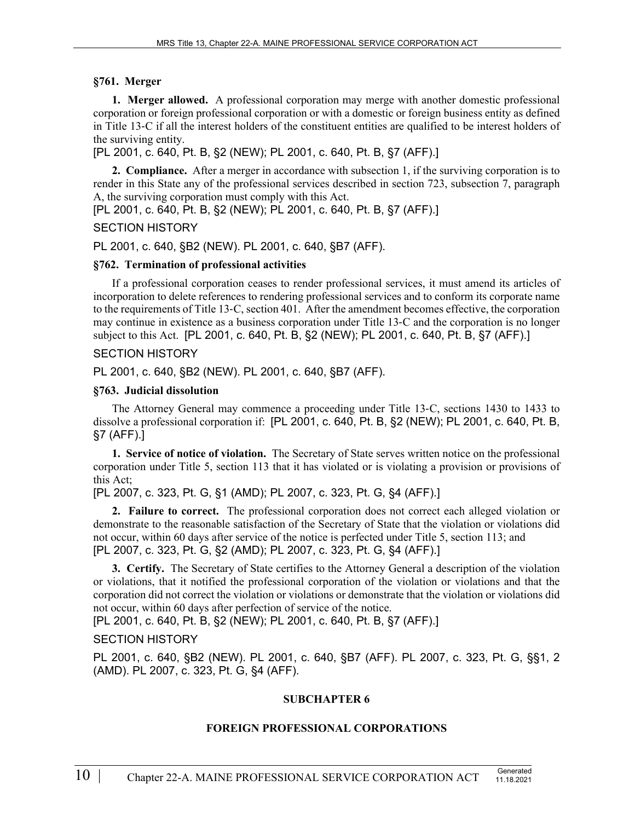## **§761. Merger**

**1. Merger allowed.** A professional corporation may merge with another domestic professional corporation or foreign professional corporation or with a domestic or foreign business entity as defined in Title 13‑C if all the interest holders of the constituent entities are qualified to be interest holders of the surviving entity.

[PL 2001, c. 640, Pt. B, §2 (NEW); PL 2001, c. 640, Pt. B, §7 (AFF).]

**2. Compliance.** After a merger in accordance with subsection 1, if the surviving corporation is to render in this State any of the professional services described in section 723, subsection 7, paragraph A, the surviving corporation must comply with this Act.

[PL 2001, c. 640, Pt. B, §2 (NEW); PL 2001, c. 640, Pt. B, §7 (AFF).]

## SECTION HISTORY

PL 2001, c. 640, §B2 (NEW). PL 2001, c. 640, §B7 (AFF).

## **§762. Termination of professional activities**

If a professional corporation ceases to render professional services, it must amend its articles of incorporation to delete references to rendering professional services and to conform its corporate name to the requirements of Title 13‑C, section 401. After the amendment becomes effective, the corporation may continue in existence as a business corporation under Title 13‑C and the corporation is no longer subject to this Act. [PL 2001, c. 640, Pt. B, §2 (NEW); PL 2001, c. 640, Pt. B, §7 (AFF).]

## SECTION HISTORY

PL 2001, c. 640, §B2 (NEW). PL 2001, c. 640, §B7 (AFF).

## **§763. Judicial dissolution**

The Attorney General may commence a proceeding under Title 13‑C, sections 1430 to 1433 to dissolve a professional corporation if: [PL 2001, c. 640, Pt. B, §2 (NEW); PL 2001, c. 640, Pt. B, §7 (AFF).]

**1. Service of notice of violation.** The Secretary of State serves written notice on the professional corporation under Title 5, section 113 that it has violated or is violating a provision or provisions of this Act;

[PL 2007, c. 323, Pt. G, §1 (AMD); PL 2007, c. 323, Pt. G, §4 (AFF).]

**2. Failure to correct.** The professional corporation does not correct each alleged violation or demonstrate to the reasonable satisfaction of the Secretary of State that the violation or violations did not occur, within 60 days after service of the notice is perfected under Title 5, section 113; and [PL 2007, c. 323, Pt. G, §2 (AMD); PL 2007, c. 323, Pt. G, §4 (AFF).]

**3. Certify.** The Secretary of State certifies to the Attorney General a description of the violation or violations, that it notified the professional corporation of the violation or violations and that the corporation did not correct the violation or violations or demonstrate that the violation or violations did not occur, within 60 days after perfection of service of the notice.

[PL 2001, c. 640, Pt. B, §2 (NEW); PL 2001, c. 640, Pt. B, §7 (AFF).]

# SECTION HISTORY

PL 2001, c. 640, §B2 (NEW). PL 2001, c. 640, §B7 (AFF). PL 2007, c. 323, Pt. G, §§1, 2 (AMD). PL 2007, c. 323, Pt. G, §4 (AFF).

# **SUBCHAPTER 6**

# **FOREIGN PROFESSIONAL CORPORATIONS**